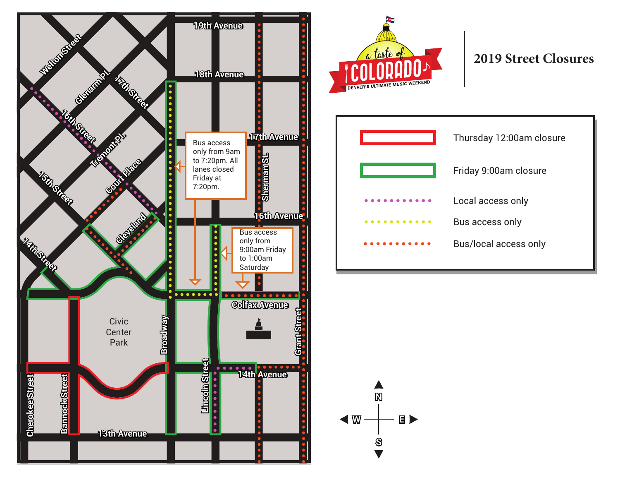



## **2019 Street Closures**